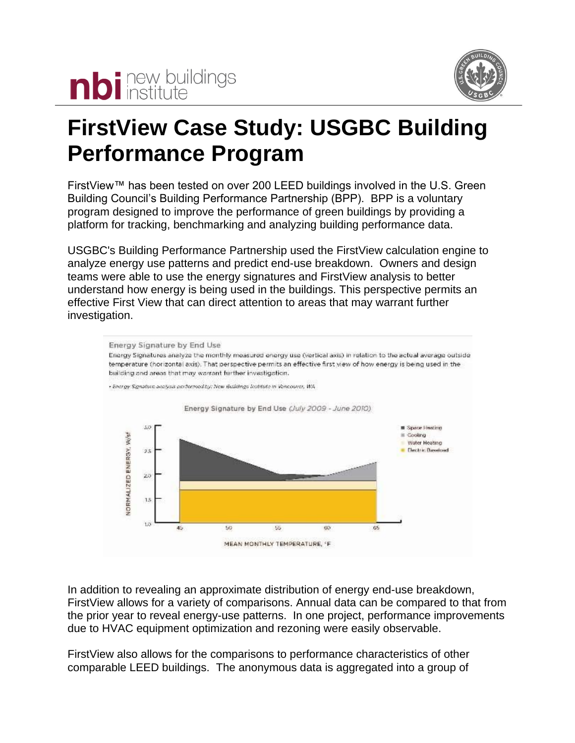



## **FirstView Case Study: USGBC Building Performance Program**

FirstView™ has been tested on over 200 LEED buildings involved in the U.S. Green Building Council's Building Performance Partnership (BPP). BPP is a voluntary program designed to improve the performance of green buildings by providing a platform for tracking, benchmarking and analyzing building performance data.

USGBC's Building Performance Partnership used the FirstView calculation engine to analyze energy use patterns and predict end-use breakdown. Owners and design teams were able to use the energy signatures and FirstView analysis to better understand how energy is being used in the buildings. This perspective permits an effective First View that can direct attention to areas that may warrant further investigation.



In addition to revealing an approximate distribution of energy end-use breakdown, FirstView allows for a variety of comparisons. Annual data can be compared to that from the prior year to reveal energy-use patterns. In one project, performance improvements due to HVAC equipment optimization and rezoning were easily observable.

FirstView also allows for the comparisons to performance characteristics of other comparable LEED buildings. The anonymous data is aggregated into a group of